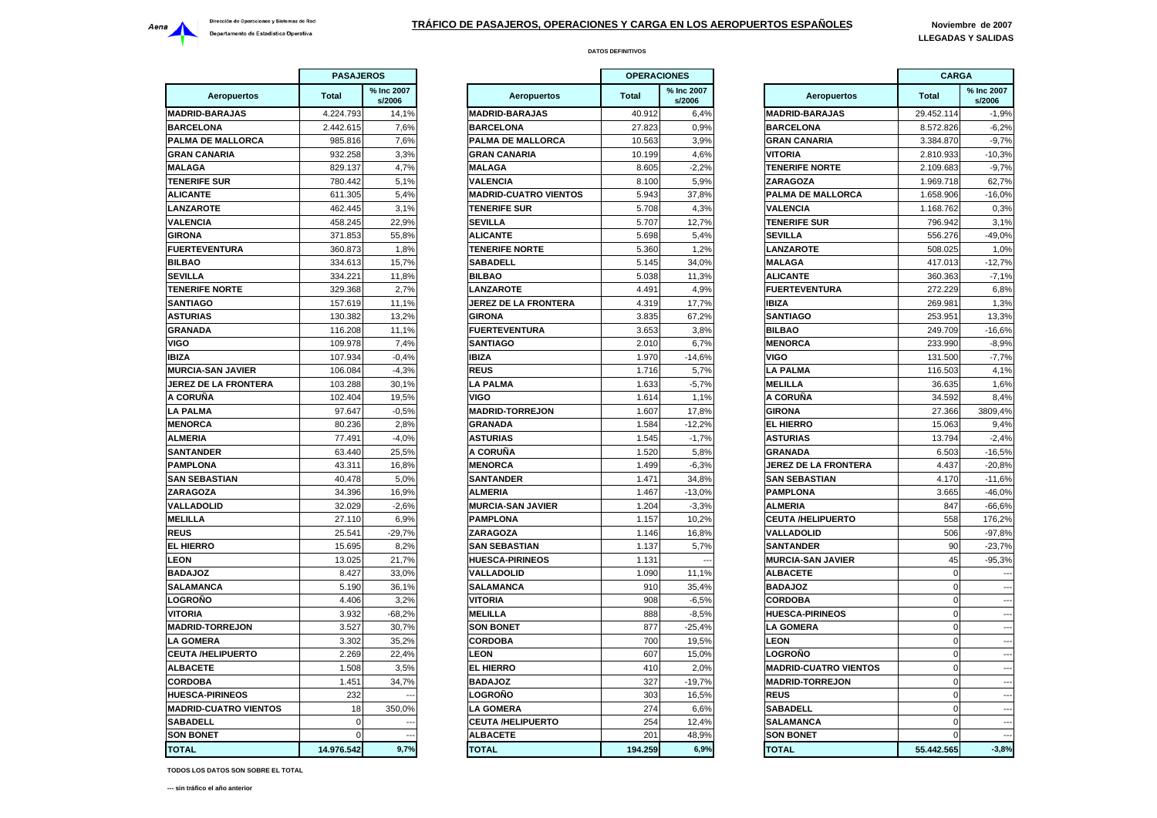**LLEGADAS Y SALIDAS**

## **DATOS DEFINITIVOS**

|                              | <b>PASAJEROS</b> |                      |                   |
|------------------------------|------------------|----------------------|-------------------|
| <b>Aeropuertos</b>           | Total            | % Inc 2007<br>s/2006 | Δ                 |
| <b>MADRID-BARAJAS</b>        | 4.224.793        | 14,1%                | <b>MADRID-B</b>   |
| <b>BARCELONA</b>             | 2.442.615        | 7,6%                 | <b>BARCELON</b>   |
| PALMA DE MALLORCA            | 985.816          | 7,6%                 | <b>PALMA DE</b>   |
| <b>GRAN CANARIA</b>          | 932.258          | 3,3%                 | <b>GRAN CAN</b>   |
| <b>MALAGA</b>                | 829.137          | 4,7%                 | <b>MALAGA</b>     |
| <b>TENERIFE SUR</b>          | 780.442          | 5,1%                 | VALENCIA          |
| <b>ALICANTE</b>              | 611.305          | 5,4%                 | <b>MADRID-CI</b>  |
| <b>LANZAROTE</b>             | 462.445          | 3,1%                 | <b>TENERIFE</b>   |
| <b>VALENCIA</b>              | 458.245          | 22,9%                | <b>SEVILLA</b>    |
| <b>GIRONA</b>                | 371.853          | 55,8%                | <b>ALICANTE</b>   |
| <b>FUERTEVENTURA</b>         | 360.873          | 1.8%                 | <b>TENERIFE</b>   |
| <b>BILBAO</b>                | 334.613          | 15,7%                | SABADELL          |
| <b>SEVILLA</b>               | 334.221          | 11,8%                | BILBAO            |
| <b>TENERIFE NORTE</b>        | 329.368          | 2,7%                 | <b>LANZAROT</b>   |
| <b>SANTIAGO</b>              | 157.619          | 11,1%                | <b>JEREZ DE I</b> |
| <b>ASTURIAS</b>              | 130.382          | 13,2%                | <b>GIRONA</b>     |
| <b>GRANADA</b>               | 116.208          | 11,1%                | <b>FUERTEVE</b>   |
| VIGO                         | 109.978          | 7,4%                 | <b>SANTIAGO</b>   |
| <b>IBIZA</b>                 | 107.934          | $-0,4%$              | <b>IBIZA</b>      |
| <b>MURCIA-SAN JAVIER</b>     | 106.084          | $-4,3%$              | <b>REUS</b>       |
| <b>JEREZ DE LA FRONTERA</b>  | 103.288          | 30,1%                | <b>LA PALMA</b>   |
| A CORUÑA                     | 102.404          | 19.5%                | VIGO              |
| <b>LA PALMA</b>              | 97.647           | $-0.5%$              | <b>MADRID-TO</b>  |
| <b>MENORCA</b>               | 80.236           | 2,8%                 | GRANADA           |
| <b>ALMERIA</b>               | 77.491           | $-4,0%$              | <b>ASTURIAS</b>   |
| <b>SANTANDER</b>             | 63.440           | 25,5%                | A CORUÑA          |
| <b>PAMPLONA</b>              | 43.311           | 16,8%                | <b>MENORCA</b>    |
| <b>SAN SEBASTIAN</b>         | 40.478           | 5,0%                 | <b>SANTANDE</b>   |
| ZARAGOZA                     | 34.396           | 16,9%                | ALMERIA           |
| VALLADOLID                   | 32.029           | $-2,6%$              | <b>MURCIA-SA</b>  |
| <b>MELILLA</b>               | 27.110           | 6,9%                 | <b>PAMPLONA</b>   |
| <b>REUS</b>                  | 25.541           | $-29,7%$             | ZARAGOZ/          |
| <b>EL HIERRO</b>             | 15.695           | 8,2%                 | <b>SAN SEBA</b>   |
| LEON                         | 13.025           | 21,7%                | <b>HUESCA-PI</b>  |
| <b>BADAJOZ</b>               | 8.427            | 33,0%                | VALLADOL          |
| <b>SALAMANCA</b>             | 5.190            | 36,1%                | SALAMANG          |
| <b>LOGROÑO</b>               | 4.406            | 3,2%                 | VITORIA           |
| VITORIA                      | 3.932            | $-68,2%$             | <b>MELILLA</b>    |
| <b>MADRID-TORREJON</b>       | 3.527            | 30,7%                | <b>SON BONE</b>   |
| <b>LA GOMERA</b>             | 3.302            | 35,2%                | <b>CORDOBA</b>    |
| <b>CEUTA /HELIPUERTO</b>     | 2.269            | 22,4%                | LEON              |
| <b>ALBACETE</b>              | 1.508            | 3,5%                 | <b>EL HIERRO</b>  |
| <b>CORDOBA</b>               | 1.451            | 34,7%                | <b>BADAJOZ</b>    |
| <b>HUESCA-PIRINEOS</b>       | 232              |                      | LOGROÑO           |
| <b>MADRID-CUATRO VIENTOS</b> | 18               | 350,0%               | <b>LA GOMER</b>   |
| <b>SABADELL</b>              | $\mathbf 0$      |                      | <b>CEUTA /HE</b>  |
|                              | $\mathbf 0$      |                      |                   |
| <b>SON BONET</b>             |                  |                      | <b>ALBACETE</b>   |
| <b>TOTAL</b>                 | 14.976.542       | 9,7%                 | <b>TOTAL</b>      |

| <b>PASAJEROS</b>           |              |                          |                              |              | <b>OPERACIONES</b>   |                              | <b>CARGA</b> |                          |
|----------------------------|--------------|--------------------------|------------------------------|--------------|----------------------|------------------------------|--------------|--------------------------|
| <b>Aeropuertos</b>         | <b>Total</b> | % Inc 2007<br>s/2006     | Aeropuertos                  | <b>Total</b> | % Inc 2007<br>s/2006 | <b>Aeropuertos</b>           | <b>Total</b> | % Inc 2007<br>s/2006     |
| <b>DRID-BARAJAS</b>        | 4.224.793    | 14,1%                    | <b>MADRID-BARAJAS</b>        | 40.912       | 6.4%                 | <b>MADRID-BARAJAS</b>        | 29.452.114   | $-1,9%$                  |
| <b>RCELONA</b>             | 2.442.615    | 7,6%                     | <b>BARCELONA</b>             | 27.823       | 0,9%                 | <b>BARCELONA</b>             | 8.572.826    | $-6,2%$                  |
| <b>MA DE MALLORCA</b>      | 985.816      | 7.6%                     | <b>PALMA DE MALLORCA</b>     | 10.563       | 3.9%                 | <b>GRAN CANARIA</b>          | 3.384.870    | $-9,7%$                  |
| AN CANARIA                 | 932.258      | 3,3%                     | <b>GRAN CANARIA</b>          | 10.199       | 4,6%                 | <b>VITORIA</b>               | 2.810.933    | $-10,3%$                 |
| LAGA                       | 829.137      | 4.7%                     | <b>MALAGA</b>                | 8.605        | $-2.2%$              | <b>TENERIFE NORTE</b>        | 2.109.683    | $-9,7%$                  |
| <b>IERIFE SUR</b>          | 780.442      | 5,1%                     | <b>VALENCIA</b>              | 8.100        | 5,9%                 | ZARAGOZA                     | 1.969.718    | 62,7%                    |
| CANTE                      | 611.305      | 5,4%                     | <b>MADRID-CUATRO VIENTOS</b> | 5.943        | 37.8%                | PALMA DE MALLORCA            | 1.658.906    | $-16.0%$                 |
| <b>IZAROTE</b>             | 462.445      | 3.1%                     | <b>TENERIFE SUR</b>          | 5.708        | 4.3%                 | <b>VALENCIA</b>              | 1.168.762    | 0.3%                     |
| <b>ENCIA</b>               | 458.245      | 22,9%                    | <b>SEVILLA</b>               | 5.707        | 12,7%                | <b>TENERIFE SUR</b>          | 796.942      | 3,1%                     |
| <b>ONA</b>                 | 371.853      | 55.8%                    | <b>ALICANTE</b>              | 5.698        | 5,4%                 | <b>SEVILLA</b>               | 556.276      | $-49.0%$                 |
| <b>ERTEVENTURA</b>         | 360.873      | 1,8%                     | <b>TENERIFE NORTE</b>        | 5.360        | 1,2%                 | <b>LANZAROTE</b>             | 508.025      | 1,0%                     |
| BAO                        | 334.613      | 15,7%                    | <b>SABADELL</b>              | 5.145        | 34,0%                | <b>MALAGA</b>                | 417.013      | $-12,7%$                 |
| <b>IILLA</b>               | 334.221      | 11,8%                    | <b>BILBAO</b>                | 5.038        | 11,3%                | <b>ALICANTE</b>              | 360.363      | $-7,1%$                  |
| <b>IERIFE NORTE</b>        | 329.368      | 2,7%                     | <b>ANZAROTE</b>              | 4.491        | 4,9%                 | <b>FUERTEVENTURA</b>         | 272.229      | 6,8%                     |
| <b>ITIAGO</b>              | 157.619      | 11,1%                    | <b>JEREZ DE LA FRONTERA</b>  | 4.319        | 17,7%                | <b>IBIZA</b>                 | 269.981      | 1,3%                     |
| <b>URIAS</b>               | 130.382      | 13,2%                    | <b>GIRONA</b>                | 3.835        | 67,2%                | <b>SANTIAGO</b>              | 253.951      | 13,3%                    |
| ANADA                      | 116.208      | 11,1%                    | <b>FUERTEVENTURA</b>         | 3.653        | 3,8%                 | <b>BILBAO</b>                | 249.709      | $-16,6%$                 |
| О                          | 109.978      | 7.4%                     | <b>SANTIAGO</b>              | 2.010        | 6,7%                 | <b>MENORCA</b>               | 233.990      | $-8,9%$                  |
| Ά                          | 107.934      | $-0,4%$                  | <b>IBIZA</b>                 | 1.970        | $-14,6%$             | VIGO                         | 131.500      | $-7,7%$                  |
| RCIA-SAN JAVIER            | 106.084      | $-4,3%$                  | <b>REUS</b>                  | 1.716        | 5,7%                 | <b>LA PALMA</b>              | 116.503      | 4,1%                     |
| <b>EZ DE LA FRONTERA!</b>  | 103.288      | 30,1%                    | <b>LA PALMA</b>              | 1.633        | $-5,7%$              | <b>MELILLA</b>               | 36.635       | 1,6%                     |
| ORUÑA                      | 102.404      | 19,5%                    | <b>VIGO</b>                  | 1.614        | 1,1%                 | A CORUÑA                     | 34.592       | 8,4%                     |
| PALMA                      | 97.647       | $-0,5%$                  | <b>MADRID-TORREJON</b>       | 1.607        | 17,8%                | <b>GIRONA</b>                | 27.366       | 3809,4%                  |
| <b>NORCA</b>               | 80.236       | 2,8%                     | <b>GRANADA</b>               | 1.584        | $-12,2%$             | <b>EL HIERRO</b>             | 15.063       | 9,4%                     |
| <b>AERIA</b>               | 77.491       | $-4,0%$                  | <b>ASTURIAS</b>              | 1.545        | $-1,7%$              | <b>ASTURIAS</b>              | 13.794       | $-2,4%$                  |
| <b>ITANDER</b>             | 63.440       | 25,5%                    | A CORUÑA                     | 1.520        | 5,8%                 | <b>GRANADA</b>               | 6.503        | $-16,5%$                 |
| <b>APLONA</b>              | 43.311       | 16,8%                    | <b>MENORCA</b>               | 1.499        | $-6,3%$              | <b>JEREZ DE LA FRONTERA</b>  | 4.437        | $-20,8%$                 |
| <b>SEBASTIAN</b>           | 40.478       | 5.0%                     | <b>SANTANDER</b>             | 1.471        | 34,8%                | <b>SAN SEBASTIAN</b>         | 4.170        | $-11.6%$                 |
| <b>AGOZA</b>               | 34.396       | 16,9%                    | <b>ALMERIA</b>               | 1.467        | $-13,0%$             | <b>PAMPLONA</b>              | 3.665        | $-46,0%$                 |
| <b>LADOLID</b>             | 32.029       | $-2,6%$                  | <b>MURCIA-SAN JAVIER</b>     | 1.204        | $-3,3%$              | <b>ALMERIA</b>               | 847          | $-66,6%$                 |
| LILLA                      | 27.110       | 6,9%                     | <b>PAMPLONA</b>              | 1.157        | 10,2%                | <b>CEUTA /HELIPUERTO</b>     | 558          | 176,2%                   |
| JS                         | 25.541       | $-29.7%$                 | <b>ZARAGOZA</b>              | 1.146        | 16,8%                | VALLADOLID                   | 506          | $-97,8%$                 |
| <b>HIERRO</b>              | 15.695       | 8.2%                     | <b>SAN SEBASTIAN</b>         | 1.137        | 5,7%                 | <b>SANTANDER</b>             | 90           | $-23,7%$                 |
| эN                         | 13.025       | 21,7%                    | <b>HUESCA-PIRINEOS</b>       | 1.131        |                      | <b>MURCIA-SAN JAVIER</b>     | 45           | $-95,3%$                 |
| <b>SOLAC</b>               | 8.427        | 33,0%                    | <b>VALLADOLID</b>            | 1.090        | 11,1%                | <b>ALBACETE</b>              | $\Omega$     |                          |
| <b>AMANCA</b>              | 5.190        | 36,1%                    | <b>SALAMANCA</b>             | 910          | 35,4%                | <b>BADAJOZ</b>               | $\sqrt{ }$   |                          |
| <b>GROÑO</b>               | 4.406        | 3,2%                     | <b>VITORIA</b>               | 908          | $-6,5%$              | CORDOBA                      | $\mathbf 0$  |                          |
| ORIA                       | 3.932        | $-68,2%$                 | <b>MELILLA</b>               | 888          | $-8,5%$              | <b>HUESCA-PIRINEOS</b>       | $\Omega$     |                          |
| <b>DRID-TORREJON</b>       | 3.527        | 30,7%                    | <b>SON BONET</b>             | 877          | $-25,4%$             | LA GOMERA                    | $\mathbf 0$  |                          |
| <b>GOMERA</b>              | 3.302        | 35,2%                    | <b>CORDOBA</b>               | 700          | 19,5%                | <b>LEON</b>                  | $\mathbf 0$  | $\overline{\phantom{a}}$ |
| <b>JTA /HELIPUERTO</b>     | 2.269        | 22,4%                    | LEON                         | 607          | 15,0%                | _OGROÑO                      | $\mathbf 0$  |                          |
| <b>BACETE</b>              | 1.508        | 3,5%                     | <b>EL HIERRO</b>             | 410          | 2,0%                 | <b>MADRID-CUATRO VIENTOS</b> | $\mathbf 0$  | $\overline{a}$           |
| RDOBA                      | 1.451        | 34,7%                    | <b>BADAJOZ</b>               | 327          | $-19,7%$             | <b>MADRID-TORREJON</b>       | $\mathbf 0$  | $\overline{\phantom{a}}$ |
| <b>ESCA-PIRINEOS</b>       | 232          |                          | _OGROÑO                      | 303          | 16,5%                | <b>REUS</b>                  | $\mathbf 0$  | $\overline{\phantom{a}}$ |
| <b>DRID-CUATRO VIENTOS</b> | 18           | 350,0%                   | <b>A GOMERA</b>              | 274          | 6,6%                 | SABADELL                     | $\mathbf 0$  | $\overline{\phantom{a}}$ |
| <b>BADELL</b>              | $\Omega$     |                          | <b>CEUTA /HELIPUERTO</b>     | 254          | 12,4%                | SALAMANCA                    | $\mathbf 0$  | $\overline{\phantom{a}}$ |
| <b>N BONET</b>             | $\Omega$     | $\overline{\phantom{a}}$ | <b>ALBACETE</b>              | 201          | 48.9%                | <b>SON BONET</b>             | $\Omega$     | $\overline{\phantom{a}}$ |
| <b>TAL</b>                 | 14.976.542   | 9.7%                     | <b>TOTAL</b>                 | 194.259      | 6.9%                 | <b>TOTAL</b>                 | 55.442.565   | $-3.8%$                  |
|                            |              |                          |                              |              |                      |                              |              |                          |

| <b>Total</b> | s/2006   | <b>Aeropuertos</b>                       | <b>Total</b>   | % Inc 2007<br>s/2006     |
|--------------|----------|------------------------------------------|----------------|--------------------------|
| 40.912       | 6,4%     | <b>MADRID-BARAJAS</b>                    | 29.452.114     | $-1,9%$                  |
| 27.823       | 0,9%     | <b>BARCELONA</b>                         | 8.572.826      | $-6,2%$                  |
| 10.563       | 3,9%     | <b>GRAN CANARIA</b>                      | 3.384.870      | $-9,7%$                  |
| 10.199       | 4,6%     | VITORIA                                  | 2.810.933      | $-10,3%$                 |
| 8.605        | $-2,2%$  | <b>TENERIFE NORTE</b>                    | 2.109.683      | $-9,7%$                  |
| 8.100        | 5,9%     | <b>ZARAGOZA</b>                          | 1.969.718      | 62,7%                    |
| 5.943        | 37,8%    | PALMA DE MALLORCA                        | 1.658.906      | $-16,0%$                 |
| 5.708        | 4,3%     | VALENCIA                                 | 1.168.762      | 0.3%                     |
| 5.707        | 12,7%    | <b>TENERIFE SUR</b>                      | 796.942        | 3,1%                     |
| 5.698        | 5,4%     | <b>SEVILLA</b>                           | 556.276        | $-49,0%$                 |
| 5.360        | 1,2%     | <b>LANZAROTE</b>                         | 508.025        | 1,0%                     |
| 5.145        | 34,0%    | <b>MALAGA</b>                            | 417.013        | $-12,7%$                 |
| 5.038        | 11,3%    | <b>ALICANTE</b>                          | 360.363        | $-7,1%$                  |
| 4.491        | 4,9%     | <b>FUERTEVENTURA</b>                     | 272.229        | 6,8%                     |
| 4.319        | 17,7%    | IBIZA                                    | 269.981        | 1,3%                     |
| 3.835        | 67,2%    | <b>SANTIAGO</b>                          | 253.951        | 13,3%                    |
| 3.653        | 3,8%     | <b>BILBAO</b>                            | 249.709        | $-16,6%$                 |
| 2.010        | 6,7%     | <b>MENORCA</b>                           | 233.990        | $-8,9%$                  |
| 1.970        | $-14,6%$ | VIGO                                     | 131.500        | $-7,7%$                  |
| 1.716        | 5,7%     | <b>LA PALMA</b>                          | 116.503        | 4,1%                     |
| 1.633        | $-5,7%$  | <b>MELILLA</b>                           | 36.635         | 1,6%                     |
| 1.614        |          | A CORUÑA                                 | 34.592         | 8,4%                     |
| 1.607        | 17,8%    | <b>GIRONA</b>                            | 27.366         | 3809,4%                  |
| 1.584        | $-12,2%$ | EL HIERRO                                | 15.063         | 9,4%                     |
| 1.545        | $-1,7%$  | <b>ASTURIAS</b>                          | 13.794         | $-2,4%$                  |
| 1.520        | 5,8%     | GRANADA                                  | 6.503          | $-16,5%$                 |
| 1.499        | $-6,3%$  | JEREZ DE LA FRONTERA                     | 4.437          | $-20,8%$                 |
| 1.471        | 34,8%    | <b>SAN SEBASTIAN</b>                     | 4.170          | $-11,6%$                 |
| 1.467        | $-13,0%$ | <b>PAMPLONA</b>                          | 3.665          | $-46,0%$                 |
| 1.204        | $-3,3%$  | <b>ALMERIA</b>                           | 847            | $-66,6%$                 |
| 1.157        | 10,2%    | <b>CEUTA /HELIPUERTO</b>                 | 558            | 176,2%                   |
| 1.146        | 16,8%    | VALLADOLID                               | 506            | $-97,8%$                 |
| 1.137        | 5,7%     | <b>SANTANDER</b>                         | 90             | $-23,7%$                 |
| 1.131        |          | <b>MURCIA-SAN JAVIER</b>                 | 45             | $-95,3%$                 |
| 1.090        | 11,1%    | <b>ALBACETE</b>                          | $\mathbf 0$    |                          |
| 910          | 35,4%    | <b>BADAJOZ</b>                           | $\Omega$       | $\ddotsc$                |
| 908          | $-6,5%$  | <b>CORDOBA</b>                           | $\mathbf 0$    | $\ddotsc$                |
| 888          | $-8,5%$  | <b>HUESCA-PIRINEOS</b>                   | $\mathbf 0$    | $\overline{\phantom{a}}$ |
| 877          | $-25,4%$ | <b>LA GOMERA</b>                         | $\mathbf 0$    |                          |
| 700          | 19,5%    | <b>LEON</b>                              | $\mathbf 0$    | Ξ.                       |
| 607          | 15,0%    | <b>LOGROÑO</b>                           | 0              | $\overline{\phantom{a}}$ |
| 410          | 2,0%     | <b>MADRID-CUATRO VIENTOS</b>             | $\mathbf 0$    | $\overline{\phantom{a}}$ |
| 327          | $-19,7%$ | <b>MADRID-TORREJON</b>                   | $\mathbf 0$    | $\overline{a}$           |
| 303          | 16,5%    | <b>REUS</b>                              | $\Omega$       | Ξ.                       |
| 274          | 6,6%     | <b>SABADELL</b>                          | $\mathbf 0$    | --                       |
| 254          | 12,4%    | <b>SALAMANCA</b>                         | $\mathbf 0$    | ---                      |
| 201          | 48,9%    | <b>SON BONET</b>                         | $\overline{0}$ |                          |
| 194.259      | 6,9%     | <b>TOTAL</b>                             | 55.442.565     | $-3.8%$                  |
|              |          | <b>OPERACIONES</b><br>% Inc 2007<br>1,1% |                | <b>CARGA</b>             |

**TODOS LOS DATOS SON SOBRE EL TOTAL**